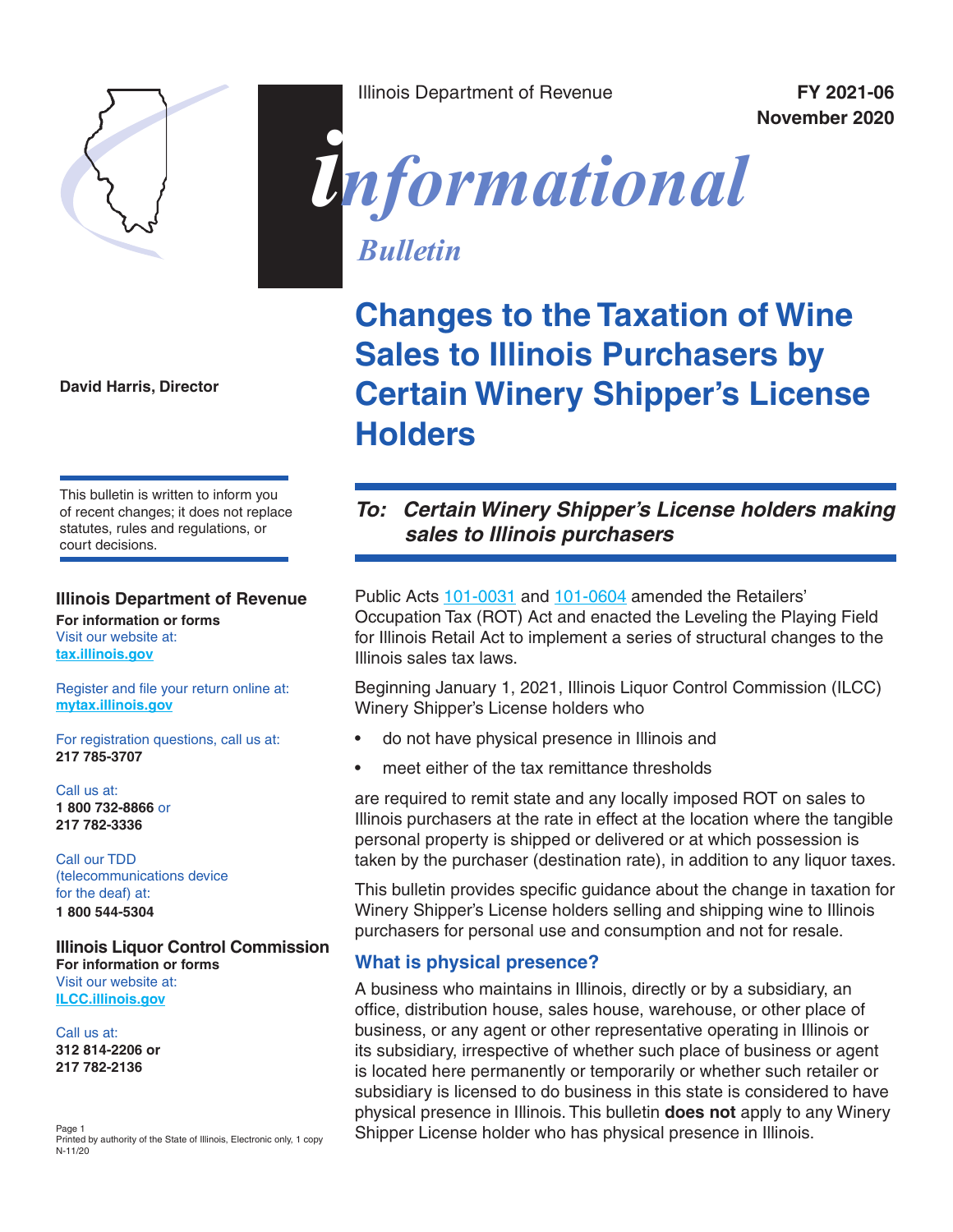

**David Harris, Director** 

This bulletin is written to inform you of recent changes; it does not replace statutes, rules and regulations, or court decisions.

#### **Illinois Department of Revenue For information or forms**

Visit our website at: **[tax.illinois.gov](http://tax.illinois.gov)**

Register and file your return online at: **[mytax.illinois.gov](https://mytax.illinois.gov/)**

For registration questions, call us at: **217 785-3707**

Call us at: **1 800 732-8866** or **217 782-3336**

Call our TDD (telecommunications device for the deaf) at: **1 800 544-5304**

#### **Illinois Liquor Control Commission For information or forms**

Visit our website at: **[ILCC.illinois.gov](https://www2.illinois.gov/ilcc)**

Call us at: **312 814-2206 or 217 782-2136**

Page 1 Printed by authority of the State of Illinois, Electronic only, 1 copy N-11/20

Illinois Department of Revenue **FY 2021-06**

**November 2020**

# *informational*

*Bulletin*

**Changes to the Taxation of Wine Sales to Illinois Purchasers by Certain Winery Shipper's License Holders**

# *To: Certain Winery Shipper's License holders making sales to Illinois purchasers*

Public Acts [101-0031](https://www.ilga.gov/legislation/publicacts/101/PDF/101-0031.pdf) and [101-0604](https://www.ilga.gov/legislation/publicacts/101/PDF/101-0604.pdf) amended the Retailers' Occupation Tax (ROT) Act and enacted the Leveling the Playing Field for Illinois Retail Act to implement a series of structural changes to the Illinois sales tax laws.

Beginning January 1, 2021, Illinois Liquor Control Commission (ILCC) Winery Shipper's License holders who

- do not have physical presence in Illinois and
- meet either of the tax remittance thresholds

are required to remit state and any locally imposed ROT on sales to Illinois purchasers at the rate in effect at the location where the tangible personal property is shipped or delivered or at which possession is taken by the purchaser (destination rate), in addition to any liquor taxes.

This bulletin provides specific guidance about the change in taxation for Winery Shipper's License holders selling and shipping wine to Illinois purchasers for personal use and consumption and not for resale.

#### **What is physical presence?**

A business who maintains in Illinois, directly or by a subsidiary, an office, distribution house, sales house, warehouse, or other place of business, or any agent or other representative operating in Illinois or its subsidiary, irrespective of whether such place of business or agent is located here permanently or temporarily or whether such retailer or subsidiary is licensed to do business in this state is considered to have physical presence in Illinois. This bulletin **does not** apply to any Winery Shipper License holder who has physical presence in Illinois.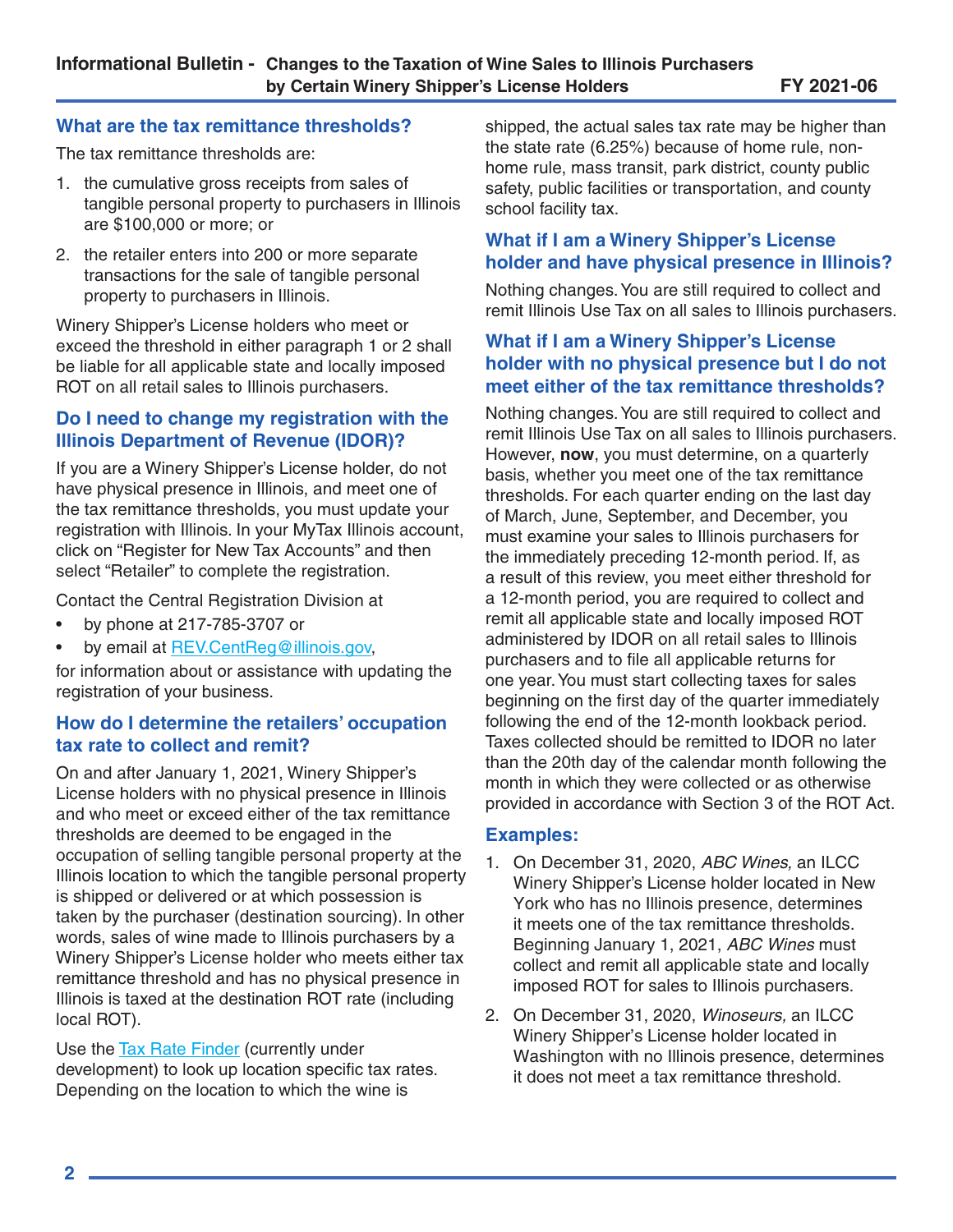#### **What are the tax remittance thresholds?**

The tax remittance thresholds are:

- 1. the cumulative gross receipts from sales of tangible personal property to purchasers in Illinois are \$100,000 or more; or
- 2. the retailer enters into 200 or more separate transactions for the sale of tangible personal property to purchasers in Illinois.

Winery Shipper's License holders who meet or exceed the threshold in either paragraph 1 or 2 shall be liable for all applicable state and locally imposed ROT on all retail sales to Illinois purchasers.

### **Do I need to change my registration with the Illinois Department of Revenue (IDOR)?**

If you are a Winery Shipper's License holder, do not have physical presence in Illinois, and meet one of the tax remittance thresholds, you must update your registration with Illinois. In your MyTax Illinois account, click on "Register for New Tax Accounts" and then select "Retailer" to complete the registration.

Contact the Central Registration Division at

- by phone at 217-785-3707 or
- by email at [REV.CentReg@illinois.gov](mailto:REV.CentReg%40illinois.gov?subject=),

for information about or assistance with updating the registration of your business.

## **How do I determine the retailers' occupation tax rate to collect and remit?**

On and after January 1, 2021, Winery Shipper's License holders with no physical presence in Illinois and who meet or exceed either of the tax remittance thresholds are deemed to be engaged in the occupation of selling tangible personal property at the Illinois location to which the tangible personal property is shipped or delivered or at which possession is taken by the purchaser (destination sourcing). In other words, sales of wine made to Illinois purchasers by a Winery Shipper's License holder who meets either tax remittance threshold and has no physical presence in Illinois is taxed at the destination ROT rate (including local ROT).

Use the [Tax Rate F](https://mytax.illinois.gov/?Link=TaxRate)inder (currently under development) to look up location specific tax rates. Depending on the location to which the wine is

shipped, the actual sales tax rate may be higher than the state rate (6.25%) because of home rule, nonhome rule, mass transit, park district, county public safety, public facilities or transportation, and county school facility tax.

# **What if I am a Winery Shipper's License holder and have physical presence in Illinois?**

Nothing changes. You are still required to collect and remit Illinois Use Tax on all sales to Illinois purchasers.

## **What if I am a Winery Shipper's License holder with no physical presence but I do not meet either of the tax remittance thresholds?**

Nothing changes. You are still required to collect and remit Illinois Use Tax on all sales to Illinois purchasers. However, **now**, you must determine, on a quarterly basis, whether you meet one of the tax remittance thresholds. For each quarter ending on the last day of March, June, September, and December, you must examine your sales to Illinois purchasers for the immediately preceding 12-month period. If, as a result of this review, you meet either threshold for a 12-month period, you are required to collect and remit all applicable state and locally imposed ROT administered by IDOR on all retail sales to Illinois purchasers and to file all applicable returns for one year. You must start collecting taxes for sales beginning on the first day of the quarter immediately following the end of the 12-month lookback period. Taxes collected should be remitted to IDOR no later than the 20th day of the calendar month following the month in which they were collected or as otherwise provided in accordance with Section 3 of the ROT Act.

#### **Examples:**

- 1. On December 31, 2020, *ABC Wines,* an ILCC Winery Shipper's License holder located in New York who has no Illinois presence, determines it meets one of the tax remittance thresholds. Beginning January 1, 2021, *ABC Wines* must collect and remit all applicable state and locally imposed ROT for sales to Illinois purchasers.
- 2. On December 31, 2020, *Winoseurs,* an ILCC Winery Shipper's License holder located in Washington with no Illinois presence, determines it does not meet a tax remittance threshold.